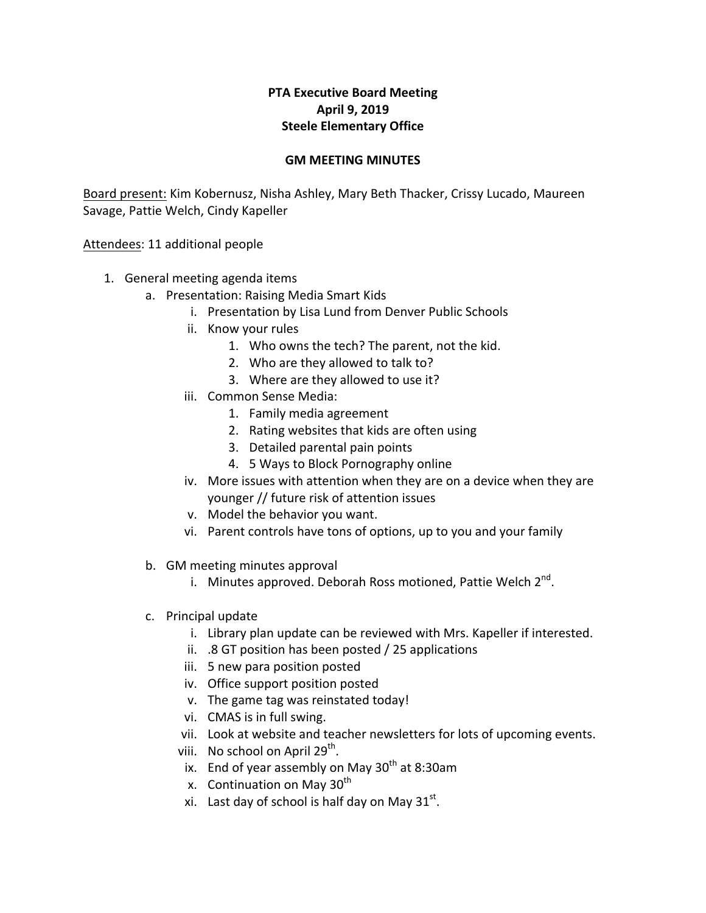## **PTA Executive Board Meeting April 9, 2019 Steele Elementary Office**

## **GM MEETING MINUTES**

Board present: Kim Kobernusz, Nisha Ashley, Mary Beth Thacker, Crissy Lucado, Maureen Savage, Pattie Welch, Cindy Kapeller

Attendees: 11 additional people

- 1. General meeting agenda items
	- a. Presentation: Raising Media Smart Kids
		- i. Presentation by Lisa Lund from Denver Public Schools
		- ii. Know your rules
			- 1. Who owns the tech? The parent, not the kid.
			- 2. Who are they allowed to talk to?
			- 3. Where are they allowed to use it?
		- iii. Common Sense Media:
			- 1. Family media agreement
			- 2. Rating websites that kids are often using
			- 3. Detailed parental pain points
			- 4. 5 Ways to Block Pornography online
		- iv. More issues with attention when they are on a device when they are younger // future risk of attention issues
		- v. Model the behavior you want.
		- vi. Parent controls have tons of options, up to you and your family
	- b. GM meeting minutes approval
		- i. Minutes approved. Deborah Ross motioned, Pattie Welch  $2^{nd}$ .
	- c. Principal update
		- i. Library plan update can be reviewed with Mrs. Kapeller if interested.
		- ii.  $.8$  GT position has been posted / 25 applications
		- iii. 5 new para position posted
		- iv. Office support position posted
		- v. The game tag was reinstated today!
		- vi. CMAS is in full swing.
		- vii. Look at website and teacher newsletters for lots of upcoming events.
		- viii. No school on April 29<sup>th</sup>.
		- ix. End of year assembly on May  $30<sup>th</sup>$  at 8:30am
		- x. Continuation on May  $30<sup>th</sup>$
		- xi. Last day of school is half day on May  $31^{st}$ .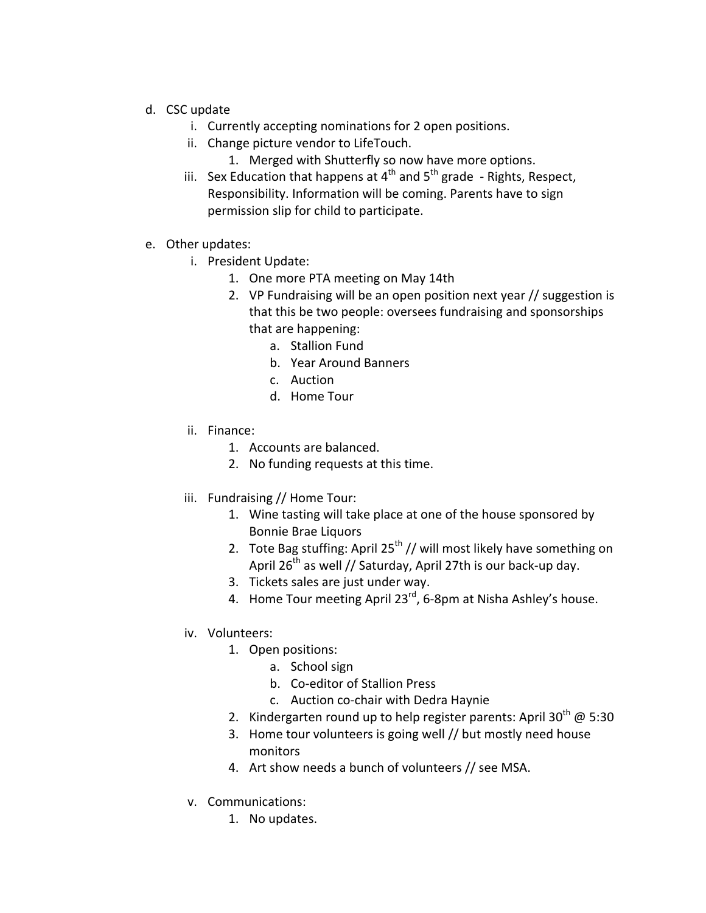- d. CSC update
	- i. Currently accepting nominations for 2 open positions.
	- ii. Change picture vendor to LifeTouch.
		- 1. Merged with Shutterfly so now have more options.
	- iii. Sex Education that happens at  $4^{th}$  and  $5^{th}$  grade  $-$  Rights, Respect, Responsibility. Information will be coming. Parents have to sign permission slip for child to participate.
- e. Other updates:
	- i. President Update:
		- 1. One more PTA meeting on May 14th
		- 2. VP Fundraising will be an open position next year // suggestion is that this be two people: oversees fundraising and sponsorships that are happening:
			- a. Stallion Fund
			- b. Year Around Banners
			- c. Auction
			- d. Home Tour
	- ii. Finance:
		- 1. Accounts are balanced.
		- 2. No funding requests at this time.
	- iii. Fundraising // Home Tour:
		- 1. Wine tasting will take place at one of the house sponsored by Bonnie Brae Liquors
		- 2. Tote Bag stuffing: April 25<sup>th</sup> // will most likely have something on April  $26^{th}$  as well // Saturday, April 27th is our back-up day.
		- 3. Tickets sales are just under way.
		- 4. Home Tour meeting April 23 $^{rd}$ , 6-8pm at Nisha Ashley's house.
	- iv. Volunteers:
		- 1. Open positions:
			- a. School sign
			- b. Co-editor of Stallion Press
			- c. Auction co-chair with Dedra Haynie
		- 2. Kindergarten round up to help register parents: April 30<sup>th</sup> @ 5:30
		- 3. Home tour volunteers is going well // but mostly need house monitors
		- 4. Art show needs a bunch of volunteers // see MSA.
	- v. Communications:
		- 1. No updates.